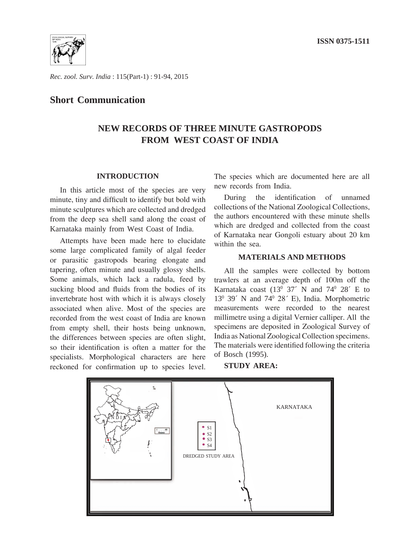

*Rec. zool. Surv. India* : 115(Part-1) : 91-94, 2015

### **Short Communication**

## **NEW RECORDS OF THREE MINUTE GASTROPODS FROM WEST COAST OF INDIA**

#### **INTRODUCTION**

In this article most of the species are very minute, tiny and difficult to identify but bold with minute sculptures which are collected and dredged from the deep sea shell sand along the coast of Karnataka mainly from West Coast of India.

Attempts have been made here to elucidate some large complicated family of algal feeder or parasitic gastropods bearing elongate and tapering, often minute and usually glossy shells. Some animals, which lack a radula, feed by sucking blood and fluids from the bodies of its invertebrate host with which it is always closely associated when alive. Most of the species are recorded from the west coast of India are known from empty shell, their hosts being unknown, the differences between species are often slight, so their identification is often a matter for the specialists. Morphological characters are here reckoned for confirmation up to species level. The species which are documented here are all new records from India.

During the identification of unnamed collections of the National Zoological Collections, the authors encountered with these minute shells which are dredged and collected from the coast of Karnataka near Gongoli estuary about 20 km within the sea.

#### **MATERIALS AND METHODS**

All the samples were collected by bottom trawlers at an average depth of 100m off the Karnataka coast  $(13^{\circ} \ 37^{\circ} \ N \ and \ 74^{\circ} \ 28^{\circ} \ E \ to$ 130 39´ N and 740 28´ E), India. Morphometric measurements were recorded to the nearest millimetre using a digital Vernier calliper. All the specimens are deposited in Zoological Survey of India as National Zoological Collection specimens. The materials were identified following the criteria of Bosch (1995).

**STUDY AREA:**

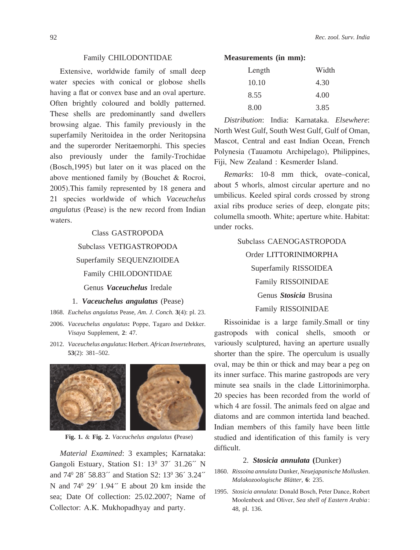#### Family CHILODONTIDAE

Extensive, worldwide family of small deep water species with conical or globose shells having a flat or convex base and an oval aperture. Often brightly coloured and boldly patterned. These shells are predominantly sand dwellers browsing algae. This family previously in the superfamily Neritoidea in the order Neritopsina and the superorder Neritaemorphi. This species also previously under the family-Trochidae (Bosch,1995) but later on it was placed on the above mentioned family by (Bouchet & Rocroi, 2005).This family represented by 18 genera and 21 species worldwide of which *Vaceuchelus angulatus* (Pease) is the new record from Indian waters.

# Class GASTROPODA Subclass VETIGASTROPODA Superfamily SEQUENZIOIDEA Family CHILODONTIDAE Genus *Vaceuchelus* Iredale

#### 1. *Vaceuchelus angulatus* (Pease)

- 1868. *Euchelus angulatus* Pease, *Am. J. Conch.* **3**(4): pl. 23.
- 2006. *Vaceuchelus angulatus***:** Poppe, Tagaro and Dekker. *Visaya* Supplement, **2**: 47.
- 2012. *Vaceuchelus angulatus*: Herbert. *African Invertebrates*, **53**(2): 381–502.



 **Fig. 1.** & **Fig. 2.** *Vaceuchelus angulatus* **(**Pease)

*Material Examined*: 3 examples; Karnataka: Gangoli Estuary, Station S1: 13<sup>0</sup> 37<sup>*/*</sup> 31.26<sup>*/*</sup> N and 74<sup>0</sup> 28<sup> $\cdot$ </sup> 58.83<sup> $\cdot$ </sup> and Station S2: 13<sup>0</sup> 36<sup> $\cdot$ </sup> 3.24<sup> $\cdot$ </sup> N and  $74^{\circ}$  29 $^{\prime}$  1.94 $^{\prime\prime}$  E about 20 km inside the sea; Date Of collection: 25.02.2007; Name of Collector: A.K. Mukhopadhyay and party.

#### **Measurements (in mm):**

| Length | Width |
|--------|-------|
| 10.10  | 4.30  |
| 8.55   | 4.00  |
| 8.00   | 3.85  |

*Distribution*: India: Karnataka. *Elsewhere*: North West Gulf, South West Gulf, Gulf of Oman, Mascot, Central and east Indian Ocean, French Polynesia (Tauamotu Archipelago), Philippines, Fiji, New Zealand : Kesmerder Island.

*Remarks*: 10-8 mm thick, ovate–conical, about 5 whorls, almost circular aperture and no umbilicus. Keeled spiral cords crossed by strong axial ribs produce series of deep, elongate pits; columella smooth. White; aperture white. Habitat: under rocks.

> Subclass CAENOGASTROPODA Order LITTORINIMORPHA Superfamily RISSOIDEA Family RISSOINIDAE Genus *Stosicia* Brusina Family RISSOINIDAE

Rissoinidae is a large family.Small or tiny gastropods with conical shells, smooth or variously sculptured, having an aperture usually shorter than the spire. The operculum is usually oval, may be thin or thick and may bear a peg on its inner surface. This marine gastropods are very minute sea snails in the clade Littorinimorpha. 20 species has been recorded from the world of which 4 are fossil. The animals feed on algae and diatoms and are common intertida land beached. Indian members of this family have been little studied and identification of this family is very difficult.

#### 2. *Stosicia annulata* **(**Dunker)

- 1860. *Rissoina annulata* Dunker, *Neuejapanische Mollusken*. *Malakozoologische Blätter*, **6**: 235.
- 1995. *Stosicia annulata*: Donald Bosch, Peter Dance, Robert Moolenbeek and Oliver, *Sea shell of Eastern Arabia* : 48, pl. 136.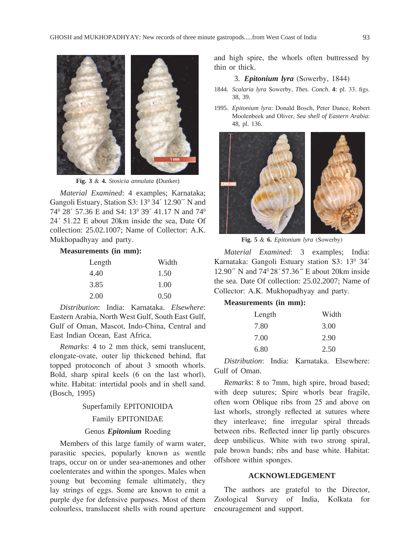

**Fig. 3** & **4.** *Stosicia annulata* **(**Dunker)

*Material Examined*: 4 examples; Karnataka; Gangoli Estuary, Station S3: 13<sup>0</sup> 34<sup>2</sup> 12.90<sup>2</sup> N and 74<sup>0</sup> 28<sup> $\cdot$ </sup> 57.36 E and S4: 13<sup>0</sup> 39<sup> $\cdot$ </sup> 41.17 N and 74<sup>0</sup> 24´ 51.22 E about 20km inside the sea, Date Of collection: 25.02.1007; Name of Collector: A.K. Mukhopadhyay and party.

#### **Measurements (in mm):**

| Length | Width |
|--------|-------|
| 4.40   | 1.50  |
| 3.85   | 1.00  |
| 2.00   | 0.50  |

*Distribution*: India: Karnataka. *Elsewhere*: Eastern Arabia, North West Gulf, South East Gulf, Gulf of Oman, Mascot, Indo-China, Central and East Indian Ocean, East Africa.

*Remarks*: 4 to 2 mm thick, semi translucent, elongate-ovate, outer lip thickened behind, flat topped protoconch of about 3 smooth whorls. Bold, sharp spiral keels (6 on the last whorl), white. Habitat: intertidal pools and in shell sand. (Bosch, 1995)

#### Superfamily EPITONIOIDA

#### Family EPITONIDAE

#### Genus *Epitonium* Roeding

Members of this large family of warm water, parasitic species, popularly known as wentle traps, occur on or under sea-anemones and other coelenterates and within the sponges. Males when young but becoming female ultimately, they lay strings of eggs. Some are known to emit a purple dye for defensive purposes. Most of them colourless, translucent shells with round aperture and high spire, the whorls often buttressed by thin or thick.

#### 3. *Epitonium lyra* (Sowerby, 1844)

- 1844. *Scalaria lyra* Sowerby, *Thes. Conch.* **4**: pl. 33. figs. 38, 39.
- 1995. *Epitonium lyra*: Donald Bosch, Peter Dance, Robert Moolenbeek and Oliver, *Sea shell of Eastern Arabia*: 48, pl. 136.



**Fig. 5** & **6.** *Epitonium lyra* (Sowerby)

*Material Examined*: 3 examples; India: Karnataka: Gangoli Estuary station S3: 13<sup>0</sup> 34<sup>2</sup> 12.90 $\degree$  N and 74 $\degree$ 28 $\degree$ 57.36 $\degree$  E about 20km inside the sea. Date Of collection: 25.02.2007; Name of Collector: A.K. Mukhopadhyay and party.

#### **Measurements (in mm):**

| Length | Width |
|--------|-------|
| 7.80   | 3.00  |
| 7.00   | 2.90  |
| 6.80   | 2.50  |

*Distribution*: India: Karnataka. Elsewhere: Gulf of Oman.

*Remarks*: 8 to 7mm, high spire, broad based; with deep sutures; Spire whorls bear fragile, often worn Oblique ribs from 25 and above on last whorls, strongly reflected at sutures where they interleave; fine irregular spiral threads between ribs. Reflected inner lip partly obscures deep umbilicus. White with two strong spiral, pale brown bands; ribs and base white. Habitat: offshore within sponges.

#### **ACKNOWLEDGEMENT**

The authors are grateful to the Director, Zoological Survey of India, Kolkata for encouragement and support.